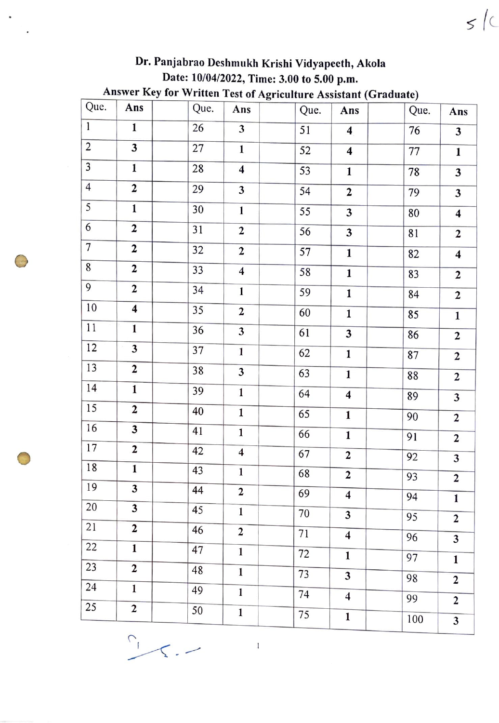|                 |                         |      |                         | Answer Key for Written Test of Agriculture Assistant (Graduate) |                         |      |                         |
|-----------------|-------------------------|------|-------------------------|-----------------------------------------------------------------|-------------------------|------|-------------------------|
| Que.            | Ans                     | Que. | Ans                     | Que.                                                            | Ans                     | Que. | Ans                     |
| $\overline{1}$  | $\mathbf{1}$            | 26   | $\overline{\mathbf{3}}$ | 51                                                              | $\overline{\mathbf{4}}$ | 76   | $\overline{\mathbf{3}}$ |
| $\overline{2}$  | 3                       | 27   | $\mathbf{1}$            | 52                                                              | $\overline{\mathbf{4}}$ | 77   | $\mathbf{1}$            |
| 3               | $\mathbf{1}$            | 28   | $\overline{\mathbf{4}}$ | 53                                                              | $\mathbf{1}$            | 78   | $\overline{\mathbf{3}}$ |
| $\overline{4}$  | $\overline{\mathbf{c}}$ | 29   | 3                       | 54                                                              | $\overline{2}$          | 79   | 3                       |
| 5               | $\mathbf{1}$            | 30   | $\mathbf{1}$            | 55                                                              | 3                       | 80   | $\overline{\mathbf{4}}$ |
| 6               | $\overline{2}$          | 31   | $\overline{2}$          | 56                                                              | 3                       | 81   | $\mathbf{2}$            |
| $\overline{7}$  | $\overline{\mathbf{c}}$ | 32   | $\mathbf{2}$            | 57                                                              | $\mathbf{1}$            | 82   | $\overline{\mathbf{4}}$ |
| $\,$ 8 $\,$     | $\overline{2}$          | 33   | $\overline{\mathbf{4}}$ | 58                                                              | $\mathbf{1}$            | 83   | $\overline{\mathbf{c}}$ |
| 9               | $\overline{2}$          | 34   | $\mathbf{1}$            | 59                                                              | $\mathbf{1}$            | 84   | $\overline{2}$          |
| 10              | $\overline{\mathbf{4}}$ | 35   | $\overline{2}$          | 60                                                              | $\mathbf{1}$            | 85   | $\mathbf{1}$            |
| 11              | $\mathbf{1}$            | 36   | 3                       | 61                                                              | 3                       | 86   | $\mathbf 2$             |
| 12              | 3                       | 37   | $\mathbf{1}$            | 62                                                              | $\mathbf{1}$            | 87   | $\overline{2}$          |
| 13              | $\mathbf 2$             | 38   | 3                       | 63                                                              | $\mathbf{1}$            | 88   | $\overline{2}$          |
| 14              | $\mathbf{1}$            | 39   | $\mathbf{1}$            | 64                                                              | $\overline{\mathbf{4}}$ | 89   | 3                       |
| 15              | $\overline{2}$          | 40   | $\mathbf{1}$            | 65                                                              | $\mathbf{1}$            | 90   | $\overline{2}$          |
| 16              | 3                       | 41   | $\mathbf{1}$            | 66                                                              | $\mathbf{1}$            | 91   | $\overline{2}$          |
| 17              | $\mathbf{2}$            | 42   | $\overline{\mathbf{4}}$ | 67                                                              | $\overline{2}$          | 92   | $\overline{\mathbf{3}}$ |
| 18              | $\mathbf{1}$            | 43   | $\mathbf{1}$            | 68                                                              | $\overline{2}$          | 93   | $\overline{2}$          |
| 19              | $\overline{\mathbf{3}}$ | 44   | $\mathbf 2$             | 69                                                              | $\overline{\mathbf{4}}$ | 94   | $\mathbf{1}$            |
| 20              | $\overline{\mathbf{3}}$ | 45   | $\mathbf{1}$            | 70                                                              | 3                       | 95   | $\overline{2}$          |
| 21              | $\overline{2}$          | 46   | $\mathbf 2$             | $\overline{71}$                                                 | $\overline{\mathbf{4}}$ | 96   | 3                       |
| 22              | $\mathbf{1}$            | 47   | $\mathbf{1}$            | 72                                                              | $\mathbf{1}$            | 97   | $\mathbf{1}$            |
| 23              | $\overline{2}$          | 48   | $\mathbf{1}$            | 73                                                              | 3                       | 98   |                         |
| $\overline{24}$ | $\mathbf{1}$            | 49   | 1                       | 74                                                              | $\overline{\mathbf{4}}$ | 99   | $\overline{2}$          |
| 25              | $\overline{\mathbf{c}}$ | 50   | $\mathbf 1$             | 75                                                              | $\mathbf{1}$            |      | $\overline{2}$          |
|                 |                         |      |                         |                                                                 |                         | 100  | 3                       |

 $\bigodot$ 

 $\ddot{\phantom{a}}$ 

 $\bigcirc$ 

## Dr. Panjabrao Dcshmukh Krishi Vidyapecth, Akola Date: 10/04/2022, Time: 3.00 to 5.00 p.m.

 $5/c$ 

 $\bar{1}$ 

 $\frac{1}{2}$